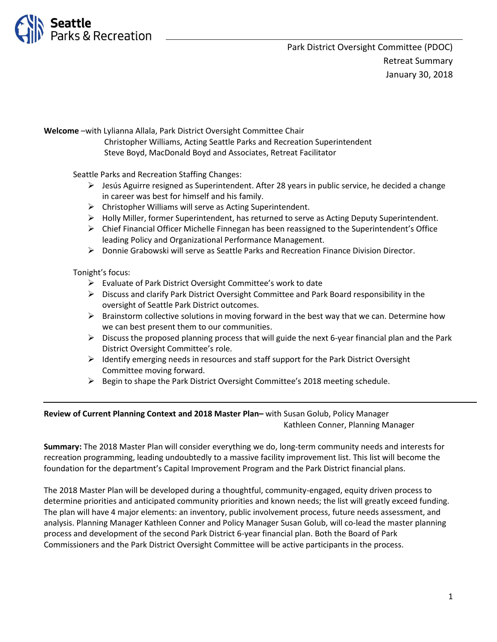

**Welcome** –with Lylianna Allala, Park District Oversight Committee Chair Christopher Williams, Acting Seattle Parks and Recreation Superintendent Steve Boyd, MacDonald Boyd and Associates, Retreat Facilitator

Seattle Parks and Recreation Staffing Changes:

- ➢ Jesús Aguirre resigned as Superintendent. After 28 years in public service, he decided a change in career was best for himself and his family.
- $\triangleright$  Christopher Williams will serve as Acting Superintendent.
- ➢ Holly Miller, former Superintendent, has returned to serve as Acting Deputy Superintendent.
- ➢ Chief Financial Officer Michelle Finnegan has been reassigned to the Superintendent's Office leading Policy and Organizational Performance Management.
- ➢ Donnie Grabowski will serve as Seattle Parks and Recreation Finance Division Director.

Tonight's focus:

- ➢ Evaluate of Park District Oversight Committee's work to date
- ➢ Discuss and clarify Park District Oversight Committee and Park Board responsibility in the oversight of Seattle Park District outcomes.
- $\triangleright$  Brainstorm collective solutions in moving forward in the best way that we can. Determine how we can best present them to our communities.
- $\triangleright$  Discuss the proposed planning process that will guide the next 6-year financial plan and the Park District Oversight Committee's role.
- $\triangleright$  Identify emerging needs in resources and staff support for the Park District Oversight Committee moving forward.
- ➢ Begin to shape the Park District Oversight Committee's 2018 meeting schedule.

## **Review of Current Planning Context and 2018 Master Plan–** with Susan Golub, Policy Manager Kathleen Conner, Planning Manager

**Summary:** The 2018 Master Plan will consider everything we do, long-term community needs and interests for recreation programming, leading undoubtedly to a massive facility improvement list. This list will become the foundation for the department's Capital Improvement Program and the Park District financial plans.

The 2018 Master Plan will be developed during a thoughtful, community-engaged, equity driven process to determine priorities and anticipated community priorities and known needs; the list will greatly exceed funding. The plan will have 4 major elements: an inventory, public involvement process, future needs assessment, and analysis. Planning Manager Kathleen Conner and Policy Manager Susan Golub, will co-lead the master planning process and development of the second Park District 6-year financial plan. Both the Board of Park Commissioners and the Park District Oversight Committee will be active participants in the process.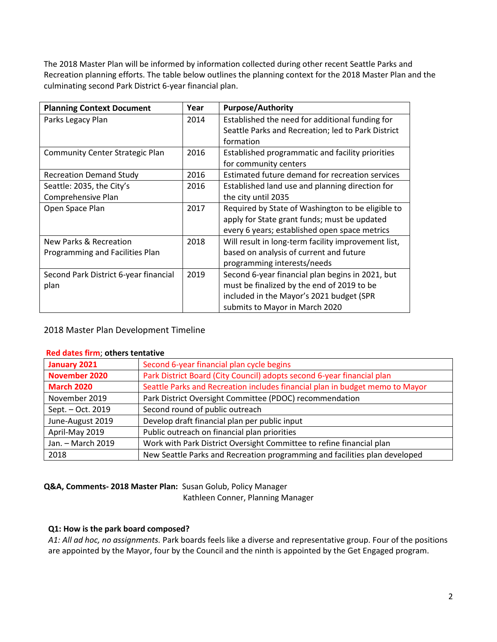The 2018 Master Plan will be informed by information collected during other recent Seattle Parks and Recreation planning efforts. The table below outlines the planning context for the 2018 Master Plan and the culminating second Park District 6-year financial plan.

| <b>Planning Context Document</b>       | Year | <b>Purpose/Authority</b>                            |
|----------------------------------------|------|-----------------------------------------------------|
| Parks Legacy Plan                      | 2014 | Established the need for additional funding for     |
|                                        |      | Seattle Parks and Recreation; led to Park District  |
|                                        |      | formation                                           |
| <b>Community Center Strategic Plan</b> | 2016 | Established programmatic and facility priorities    |
|                                        |      | for community centers                               |
| <b>Recreation Demand Study</b>         | 2016 | Estimated future demand for recreation services     |
| Seattle: 2035, the City's              | 2016 | Established land use and planning direction for     |
| Comprehensive Plan                     |      | the city until 2035                                 |
| Open Space Plan                        | 2017 | Required by State of Washington to be eligible to   |
|                                        |      | apply for State grant funds; must be updated        |
|                                        |      | every 6 years; established open space metrics       |
| New Parks & Recreation                 | 2018 | Will result in long-term facility improvement list, |
| Programming and Facilities Plan        |      | based on analysis of current and future             |
|                                        |      | programming interests/needs                         |
| Second Park District 6-year financial  | 2019 | Second 6-year financial plan begins in 2021, but    |
| plan                                   |      | must be finalized by the end of 2019 to be          |
|                                        |      | included in the Mayor's 2021 budget (SPR            |
|                                        |      | submits to Mayor in March 2020                      |

2018 Master Plan Development Timeline

| Red dates firm; others tentative |                                                                              |  |
|----------------------------------|------------------------------------------------------------------------------|--|
| January 2021                     | Second 6-year financial plan cycle begins                                    |  |
| <b>November 2020</b>             | Park District Board (City Council) adopts second 6-year financial plan       |  |
| <b>March 2020</b>                | Seattle Parks and Recreation includes financial plan in budget memo to Mayor |  |
| November 2019                    | Park District Oversight Committee (PDOC) recommendation                      |  |
| Sept. - Oct. 2019                | Second round of public outreach                                              |  |
| June-August 2019                 | Develop draft financial plan per public input                                |  |
| April-May 2019                   | Public outreach on financial plan priorities                                 |  |
| Jan. - March 2019                | Work with Park District Oversight Committee to refine financial plan         |  |
| 2018                             | New Seattle Parks and Recreation programming and facilities plan developed   |  |
|                                  |                                                                              |  |

### **Red dates firm**; **others tentative**

**Q&A, Comments- 2018 Master Plan:** Susan Golub, Policy Manager

Kathleen Conner, Planning Manager

## **Q1: How is the park board composed?**

*A1: All ad hoc, no assignments.* Park boards feels like a diverse and representative group. Four of the positions are appointed by the Mayor, four by the Council and the ninth is appointed by the Get Engaged program.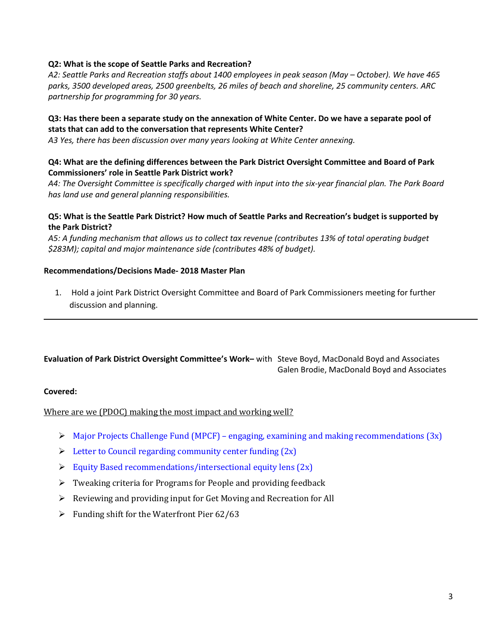### **Q2: What is the scope of Seattle Parks and Recreation?**

*A2: Seattle Parks and Recreation staffs about 1400 employees in peak season (May – October). We have 465 parks, 3500 developed areas, 2500 greenbelts, 26 miles of beach and shoreline, 25 community centers. ARC partnership for programming for 30 years.*

### **Q3: Has there been a separate study on the annexation of White Center. Do we have a separate pool of stats that can add to the conversation that represents White Center?**

*A3 Yes, there has been discussion over many years looking at White Center annexing.*

#### **Q4: What are the defining differences between the Park District Oversight Committee and Board of Park Commissioners' role in Seattle Park District work?**

A4: The Oversight Committee is specifically charged with input into the six-year financial plan. The Park Board *has land use and general planning responsibilities.*

### **Q5: What is the Seattle Park District? How much of Seattle Parks and Recreation's budget is supported by the Park District?**

*A5: A funding mechanism that allows us to collect tax revenue (contributes 13% of total operating budget \$283M); capital and major maintenance side (contributes 48% of budget).*

#### **Recommendations/Decisions Made- 2018 Master Plan**

1. Hold a joint Park District Oversight Committee and Board of Park Commissioners meeting for further discussion and planning.

# **Evaluation of Park District Oversight Committee's Work–** with Steve Boyd, MacDonald Boyd and Associates Galen Brodie, MacDonald Boyd and Associates

#### **Covered:**

Where are we (PDOC) making the most impact and working well?

- $\triangleright$  Major Projects Challenge Fund (MPCF) engaging, examining and making recommendations (3x)
- $\triangleright$  Letter to Council regarding community center funding  $(2x)$
- $\triangleright$  Equity Based recommendations/intersectional equity lens (2x)
- ➢ Tweaking criteria for Programs for People and providing feedback
- ➢ Reviewing and providing input for Get Moving and Recreation for All
- $\triangleright$  Funding shift for the Waterfront Pier 62/63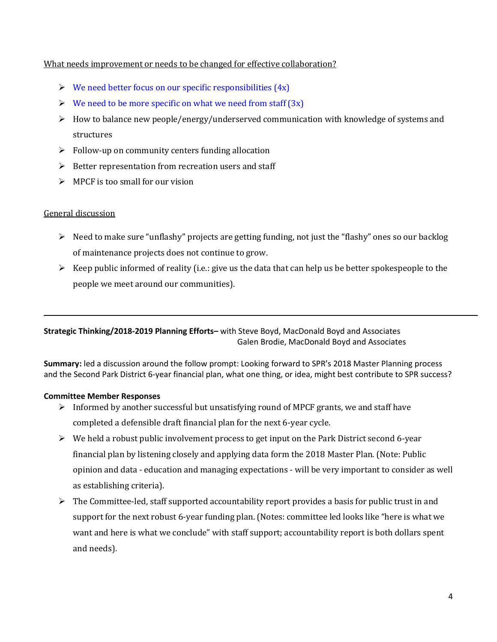### What needs improvement or needs to be changed for effective collaboration?

- $\triangleright$  We need better focus on our specific responsibilities (4x)
- $\triangleright$  We need to be more specific on what we need from staff (3x)
- ➢ How to balance new people/energy/underserved communication with knowledge of systems and structures
- $\triangleright$  Follow-up on community centers funding allocation
- ➢ Better representation from recreation users and staff
- $\triangleright$  MPCF is too small for our vision

## General discussion

- $\triangleright$  Need to make sure "unflashy" projects are getting funding, not just the "flashy" ones so our backlog of maintenance projects does not continue to grow.
- $\triangleright$  Keep public informed of reality (i.e.: give us the data that can help us be better spokespeople to the people we meet around our communities).

# **Strategic Thinking/2018-2019 Planning Efforts–** with Steve Boyd, MacDonald Boyd and Associates Galen Brodie, MacDonald Boyd and Associates

**Summary:** led a discussion around the follow prompt: Looking forward to SPR's 2018 Master Planning process and the Second Park District 6-year financial plan, what one thing, or idea, might best contribute to SPR success?

## **Committee Member Responses**

- $\triangleright$  Informed by another successful but unsatisfying round of MPCF grants, we and staff have completed a defensible draft financial plan for the next 6-year cycle.
- $\triangleright$  We held a robust public involvement process to get input on the Park District second 6-year financial plan by listening closely and applying data form the 2018 Master Plan. (Note: Public opinion and data - education and managing expectations - will be very important to consider as well as establishing criteria).
- $\triangleright$  The Committee-led, staff supported accountability report provides a basis for public trust in and support for the next robust 6-year funding plan. (Notes: committee led looks like "here is what we want and here is what we conclude" with staff support; accountability report is both dollars spent and needs).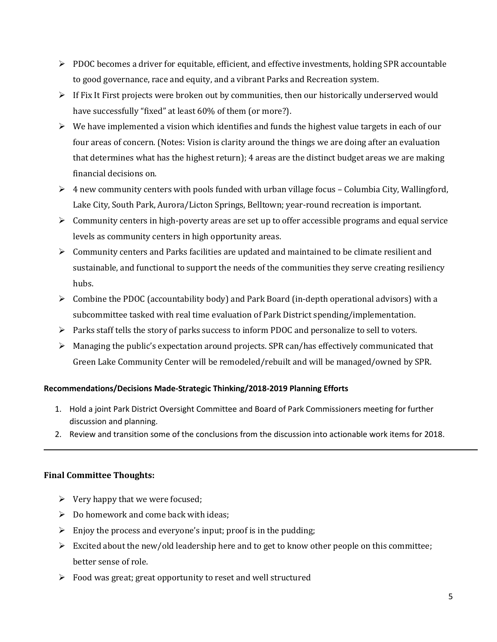- $\triangleright$  PDOC becomes a driver for equitable, efficient, and effective investments, holding SPR accountable to good governance, race and equity, and a vibrant Parks and Recreation system.
- $\triangleright$  If Fix It First projects were broken out by communities, then our historically underserved would have successfully "fixed" at least 60% of them (or more?).
- $\triangleright$  We have implemented a vision which identifies and funds the highest value targets in each of our four areas of concern. (Notes: Vision is clarity around the things we are doing after an evaluation that determines what has the highest return); 4 areas are the distinct budget areas we are making financial decisions on.
- $\triangleright$  4 new community centers with pools funded with urban village focus Columbia City, Wallingford, Lake City, South Park, Aurora/Licton Springs, Belltown; year-round recreation is important.
- $\triangleright$  Community centers in high-poverty areas are set up to offer accessible programs and equal service levels as community centers in high opportunity areas.
- $\triangleright$  Community centers and Parks facilities are updated and maintained to be climate resilient and sustainable, and functional to support the needs of the communities they serve creating resiliency hubs.
- $\triangleright$  Combine the PDOC (accountability body) and Park Board (in-depth operational advisors) with a subcommittee tasked with real time evaluation of Park District spending/implementation.
- ➢ Parks staff tells the story of parks success to inform PDOC and personalize to sell to voters.
- $\triangleright$  Managing the public's expectation around projects. SPR can/has effectively communicated that Green Lake Community Center will be remodeled/rebuilt and will be managed/owned by SPR.

## **Recommendations/Decisions Made-Strategic Thinking/2018-2019 Planning Efforts**

- 1. Hold a joint Park District Oversight Committee and Board of Park Commissioners meeting for further discussion and planning.
- 2. Review and transition some of the conclusions from the discussion into actionable work items for 2018.

# **Final Committee Thoughts:**

- $\triangleright$  Very happy that we were focused;
- $\triangleright$  Do homework and come back with ideas;
- $\triangleright$  Enjoy the process and everyone's input; proof is in the pudding;
- $\triangleright$  Excited about the new/old leadership here and to get to know other people on this committee; better sense of role.
- ➢ Food was great; great opportunity to reset and well structured